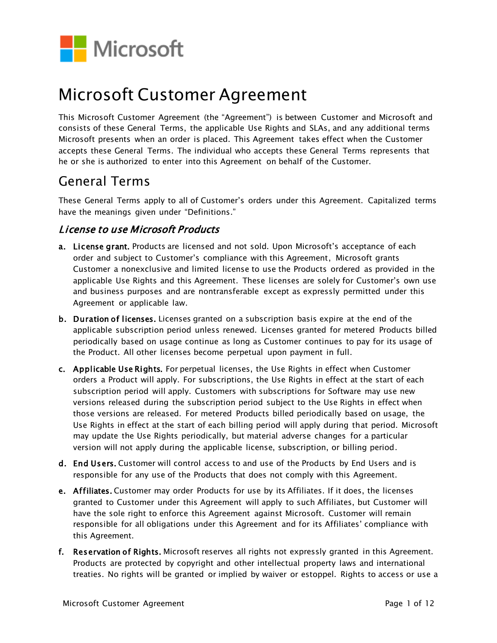

# Microsoft Customer Agreement

This Microsoft Customer Agreement (the "Agreement") is between Customer and Microsoft and consists of these General Terms, the applicable Use Rights and SLAs, and any additional terms Microsoft presents when an order is placed. This Agreement takes effect when the Customer accepts these General Terms. The individual who accepts these General Terms represents that he or she is authorized to enter into this Agreement on behalf of the Customer.

# General Terms

These General Terms apply to all of Customer's orders under this Agreement. Capitalized terms have the meanings given under "Definitions."

# License to use Microsoft Products

- a. License grant. Products are licensed and not sold. Upon Microsoft's acceptance of each order and subject to Customer's compliance with this Agreement, Microsoft grants Customer a nonexclusive and limited license to use the Products ordered as provided in the applicable Use Rights and this Agreement. These licenses are solely for Customer's own use and business purposes and are nontransferable except as expressly permitted under this Agreement or applicable law.
- b. Duration of licenses. Licenses granted on a subscription basis expire at the end of the applicable subscription period unless renewed. Licenses granted for metered Products billed periodically based on usage continue as long as Customer continues to pay for its usage of the Product. All other licenses become perpetual upon payment in full.
- c. Applicable Use Rights. For perpetual licenses, the Use Rights in effect when Customer orders a Product will apply. For subscriptions, the Use Rights in effect at the start of each subscription period will apply. Customers with subscriptions for Software may use new versions released during the subscription period subject to the Use Rights in effect when those versions are released. For metered Products billed periodically based on usage, the Use Rights in effect at the start of each billing period will apply during that period. Microsoft may update the Use Rights periodically, but material adverse changes for a particular version will not apply during the applicable license, subscription, or billing period.
- d. End Users. Customer will control access to and use of the Products by End Users and is responsible for any use of the Products that does not comply with this Agreement.
- e. Affiliates. Customer may order Products for use by its Affiliates. If it does, the licenses granted to Customer under this Agreement will apply to such Affiliates, but Customer will have the sole right to enforce this Agreement against Microsoft. Customer will remain responsible for all obligations under this Agreement and for its Affiliates' compliance with this Agreement.
- f. Reservation of Rights. Microsoft reserves all rights not expressly granted in this Agreement. Products are protected by copyright and other intellectual property laws and international treaties. No rights will be granted or implied by waiver or estoppel. Rights to access or use a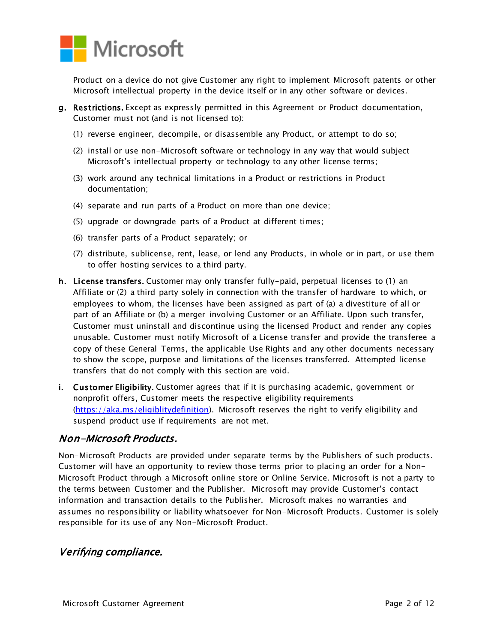

Product on a device do not give Customer any right to implement Microsoft patents or other Microsoft intellectual property in the device itself or in any other software or devices.

- g. Restrictions. Except as expressly permitted in this Agreement or Product documentation, Customer must not (and is not licensed to):
	- (1) reverse engineer, decompile, or disassemble any Product, or attempt to do so;
	- (2) install or use non-Microsoft software or technology in any way that would subject Microsoft's intellectual property or technology to any other license terms;
	- (3) work around any technical limitations in a Product or restrictions in Product documentation;
	- (4) separate and run parts of a Product on more than one device;
	- (5) upgrade or downgrade parts of a Product at different times;
	- (6) transfer parts of a Product separately; or
	- (7) distribute, sublicense, rent, lease, or lend any Products, in whole or in part, or use them to offer hosting services to a third party.
- h. License transfers. Customer may only transfer fully-paid, perpetual licenses to (1) an Affiliate or (2) a third party solely in connection with the transfer of hardware to which, or employees to whom, the licenses have been assigned as part of (a) a divestiture of all or part of an Affiliate or (b) a merger involving Customer or an Affiliate. Upon such transfer, Customer must uninstall and discontinue using the licensed Product and render any copies unusable. Customer must notify Microsoft of a License transfer and provide the transferee a copy of these General Terms, the applicable Use Rights and any other documents necessary to show the scope, purpose and limitations of the licenses transferred. Attempted license transfers that do not comply with this section are void.
- i. Customer Eligibility. Customer agrees that if it is purchasing academic, government or nonprofit offers, Customer meets the respective eligibility requirements [\(https://aka.ms/eligiblitydefinition\).](https://aka.ms/eligiblitydefinition) Microsoft reserves the right to verify eligibility and suspend product use if requirements are not met.

## Non-Microsoft Products.

Non-Microsoft Products are provided under separate terms by the Publishers of such products. Customer will have an opportunity to review those terms prior to placing an order for a Non-Microsoft Product through a Microsoft online store or Online Service. Microsoft is not a party to the terms between Customer and the Publisher. Microsoft may provide Customer's contact information and transaction details to the Publisher. Microsoft makes no warranties and assumes no responsibility or liability whatsoever for Non-Microsoft Products. Customer is solely responsible for its use of any Non-Microsoft Product.

#### Verifying compliance.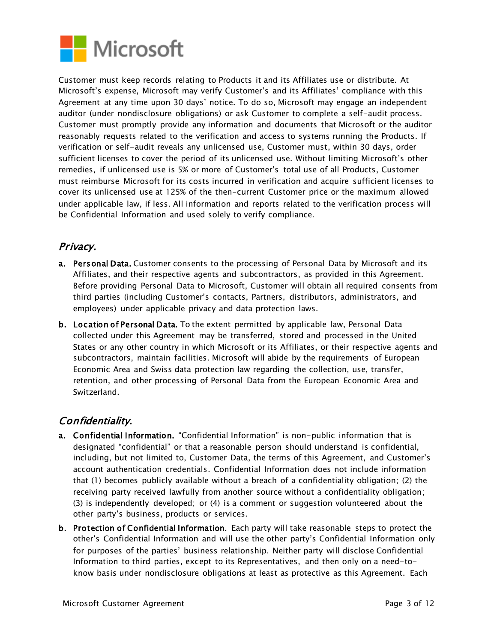

Customer must keep records relating to Products it and its Affiliates use or distribute. At Microsoft's expense, Microsoft may verify Customer's and its Affiliates' compliance with this Agreement at any time upon 30 days' notice. To do so, Microsoft may engage an independent auditor (under nondisclosure obligations) or ask Customer to complete a self-audit process. Customer must promptly provide any information and documents that Microsoft or the auditor reasonably requests related to the verification and access to systems running the Products. If verification or self-audit reveals any unlicensed use, Customer must, within 30 days, order sufficient licenses to cover the period of its unlicensed use. Without limiting Microsoft's other remedies, if unlicensed use is 5% or more of Customer's total use of all Products, Customer must reimburse Microsoft for its costs incurred in verification and acquire sufficient licenses to cover its unlicensed use at 125% of the then-current Customer price or the maximum allowed under applicable law, if less. All information and reports related to the verification process will be Confidential Information and used solely to verify compliance.

# Privacy.

- a. Personal Data. Customer consents to the processing of Personal Data by Microsoft and its Affiliates, and their respective agents and subcontractors, as provided in this Agreement. Before providing Personal Data to Microsoft, Customer will obtain all required consents from third parties (including Customer's contacts, Partners, distributors, administrators, and employees) under applicable privacy and data protection laws.
- b. Location of Personal Data. To the extent permitted by applicable law, Personal Data collected under this Agreement may be transferred, stored and processed in the United States or any other country in which Microsoft or its Affiliates, or their respective agents and subcontractors, maintain facilities. Microsoft will abide by the requirements of European Economic Area and Swiss data protection law regarding the collection, use, transfer, retention, and other processing of Personal Data from the European Economic Area and Switzerland.

# Confidentiality.

- a. Confidential Information. "Confidential Information" is non-public information that is designated "confidential" or that a reasonable person should understand is confidential, including, but not limited to, Customer Data, the terms of this Agreement, and Customer's account authentication credentials. Confidential Information does not include information that (1) becomes publicly available without a breach of a confidentiality obligation; (2) the receiving party received lawfully from another source without a confidentiality obligation; (3) is independently developed; or (4) is a comment or suggestion volunteered about the other party's business, products or services.
- b. Protection of Confidential Information. Each party will take reasonable steps to protect the other's Confidential Information and will use the other party's Confidential Information only for purposes of the parties' business relationship. Neither party will disclose Confidential Information to third parties, except to its Representatives, and then only on a need-toknow basis under nondisclosure obligations at least as protective as this Agreement. Each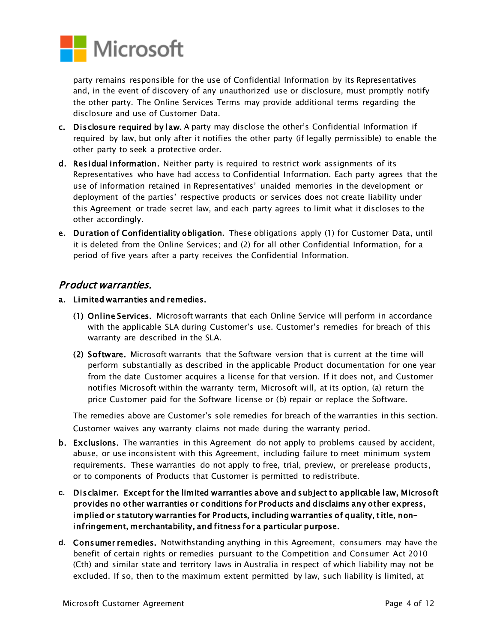

party remains responsible for the use of Confidential Information by its Representatives and, in the event of discovery of any unauthorized use or disclosure, must promptly notify the other party. The Online Services Terms may provide additional terms regarding the disclosure and use of Customer Data.

- c. Disclosure required by law. A party may disclose the other's Confidential Information if required by law, but only after it notifies the other party (if legally permissible) to enable the other party to seek a protective order.
- d. Residual information. Neither party is required to restrict work assignments of its Representatives who have had access to Confidential Information. Each party agrees that the use of information retained in Representatives' unaided memories in the development or deployment of the parties' respective products or services does not create liability under this Agreement or trade secret law, and each party agrees to limit what it discloses to the other accordingly.
- e. Duration of Confidentiality obligation. These obligations apply (1) for Customer Data, until it is deleted from the Online Services; and (2) for all other Confidential Information, for a period of five years after a party receives the Confidential Information.

#### Product warranties.

- a. Limited warranties and remedies.
	- (1) Online Services. Microsoft warrants that each Online Service will perform in accordance with the applicable SLA during Customer's use. Customer's remedies for breach of this warranty are described in the SLA.
	- (2) Software. Microsoft warrants that the Software version that is current at the time will perform substantially as described in the applicable Product documentation for one year from the date Customer acquires a license for that version. If it does not, and Customer notifies Microsoft within the warranty term, Microsoft will, at its option, (a) return the price Customer paid for the Software license or (b) repair or replace the Software.

The remedies above are Customer's sole remedies for breach of the warranties in this section. Customer waives any warranty claims not made during the warranty period.

- b. Exclusions. The warranties in this Agreement do not apply to problems caused by accident, abuse, or use inconsistent with this Agreement, including failure to meet minimum system requirements. These warranties do not apply to free, trial, preview, or prerelease products, or to components of Products that Customer is permitted to redistribute.
- **c.** Disclaimer. Except for the limited warranties above and subject to applicable law, Microsoft provides no other warranties or conditions for Products and disclaims any other express, implied or statutory warranties for Products, including warranties of quality, title, noninfringement, merchantability, and fitness for a particular purpose.
- **d.** Consumer remedies. Notwithstanding anything in this Agreement, consumers may have the benefit of certain rights or remedies pursuant to the Competition and Consumer Act 2010 (Cth) and similar state and territory laws in Australia in respect of which liability may not be excluded. If so, then to the maximum extent permitted by law, such liability is limited, at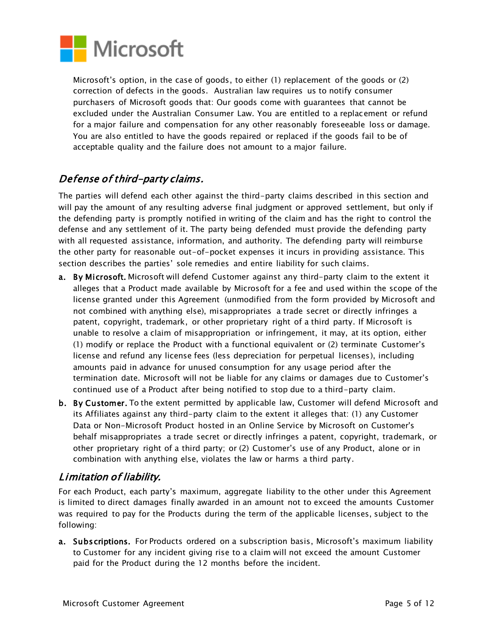

Microsoft's option, in the case of goods, to either (1) replacement of the goods or (2) correction of defects in the goods. Australian law requires us to notify consumer purchasers of Microsoft goods that: Our goods come with guarantees that cannot be excluded under the Australian Consumer Law. You are entitled to a replacement or refund for a major failure and compensation for any other reasonably foreseeable loss or damage. You are also entitled to have the goods repaired or replaced if the goods fail to be of acceptable quality and the failure does not amount to a major failure.

# Defense of third-party claims.

The parties will defend each other against the third-party claims described in this section and will pay the amount of any resulting adverse final judgment or approved settlement, but only if the defending party is promptly notified in writing of the claim and has the right to control the defense and any settlement of it. The party being defended must provide the defending party with all requested assistance, information, and authority. The defending party will reimburse the other party for reasonable out-of-pocket expenses it incurs in providing assistance. This section describes the parties' sole remedies and entire liability for such claims.

- a. By Microsoft. Microsoft will defend Customer against any third-party claim to the extent it alleges that a Product made available by Microsoft for a fee and used within the scope of the license granted under this Agreement (unmodified from the form provided by Microsoft and not combined with anything else), misappropriates a trade secret or directly infringes a patent, copyright, trademark, or other proprietary right of a third party. If Microsoft is unable to resolve a claim of misappropriation or infringement, it may, at its option, either (1) modify or replace the Product with a functional equivalent or (2) terminate Customer's license and refund any license fees (less depreciation for perpetual licenses), including amounts paid in advance for unused consumption for any usage period after the termination date. Microsoft will not be liable for any claims or damages due to Customer's continued use of a Product after being notified to stop due to a third-party claim.
- b. By Customer. To the extent permitted by applicable law, Customer will defend Microsoft and its Affiliates against any third-party claim to the extent it alleges that: (1) any Customer Data or Non-Microsoft Product hosted in an Online Service by Microsoft on Customer's behalf misappropriates a trade secret or directly infringes a patent, copyright, trademark, or other proprietary right of a third party; or (2) Customer's use of any Product, alone or in combination with anything else, violates the law or harms a third party.

# Limitation of liability.

For each Product, each party's maximum, aggregate liability to the other under this Agreement is limited to direct damages finally awarded in an amount not to exceed the amounts Customer was required to pay for the Products during the term of the applicable licenses, subject to the following:

a. Subscriptions. For Products ordered on a subscription basis, Microsoft's maximum liability to Customer for any incident giving rise to a claim will not exceed the amount Customer paid for the Product during the 12 months before the incident.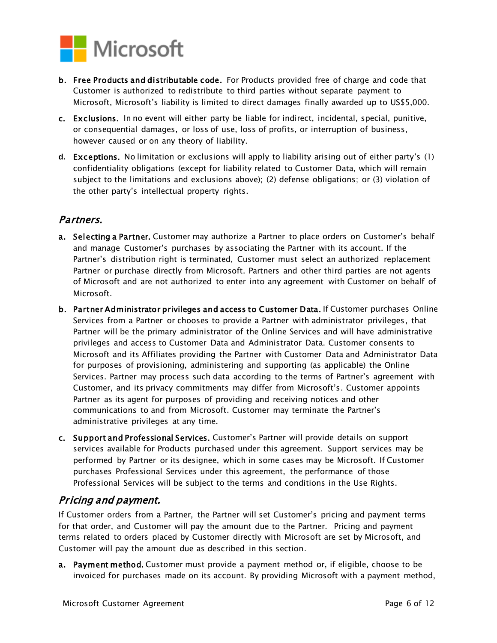

- b. Free Products and distributable code. For Products provided free of charge and code that Customer is authorized to redistribute to third parties without separate payment to Microsoft, Microsoft's liability is limited to direct damages finally awarded up to US\$5,000.
- c. Exclusions. In no event will either party be liable for indirect, incidental, special, punitive, or consequential damages, or loss of use, loss of profits, or interruption of business, however caused or on any theory of liability.
- **d.** Exceptions. No limitation or exclusions will apply to liability arising out of either party's (1) confidentiality obligations (except for liability related to Customer Data, which will remain subject to the limitations and exclusions above); (2) defense obligations; or (3) violation of the other party's intellectual property rights.

# Partners.

- a. Selecting a Partner. Customer may authorize a Partner to place orders on Customer's behalf and manage Customer's purchases by associating the Partner with its account. If the Partner's distribution right is terminated, Customer must select an authorized replacement Partner or purchase directly from Microsoft. Partners and other third parties are not agents of Microsoft and are not authorized to enter into any agreement with Customer on behalf of Microsoft.
- b. Partner Administrator privileges and access to Customer Data. If Customer purchases Online Services from a Partner or chooses to provide a Partner with administrator privileges, that Partner will be the primary administrator of the Online Services and will have administrative privileges and access to Customer Data and Administrator Data. Customer consents to Microsoft and its Affiliates providing the Partner with Customer Data and Administrator Data for purposes of provisioning, administering and supporting (as applicable) the Online Services. Partner may process such data according to the terms of Partner's agreement with Customer, and its privacy commitments may differ from Microsoft's. Customer appoints Partner as its agent for purposes of providing and receiving notices and other communications to and from Microsoft. Customer may terminate the Partner's administrative privileges at any time.
- c. Support and Professional Services. Customer's Partner will provide details on support services available for Products purchased under this agreement. Support services may be performed by Partner or its designee, which in some cases may be Microsoft. If Customer purchases Professional Services under this agreement, the performance of those Professional Services will be subject to the terms and conditions in the Use Rights.

## Pricing and payment.

If Customer orders from a Partner, the Partner will set Customer's pricing and payment terms for that order, and Customer will pay the amount due to the Partner. Pricing and payment terms related to orders placed by Customer directly with Microsoft are set by Microsoft, and Customer will pay the amount due as described in this section.

a. Payment method. Customer must provide a payment method or, if eligible, choose to be invoiced for purchases made on its account. By providing Microsoft with a payment method,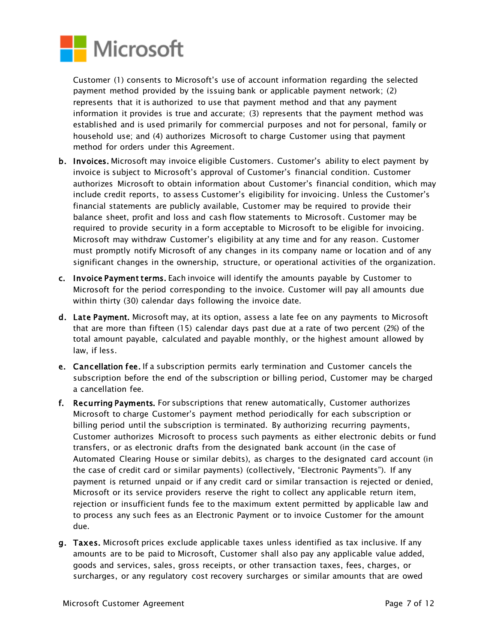

Customer (1) consents to Microsoft's use of account information regarding the selected payment method provided by the issuing bank or applicable payment network; (2) represents that it is authorized to use that payment method and that any payment information it provides is true and accurate; (3) represents that the payment method was established and is used primarily for commercial purposes and not for personal, family or household use; and (4) authorizes Microsoft to charge Customer using that payment method for orders under this Agreement.

- b. Invoices. Microsoft may invoice eligible Customers. Customer's ability to elect payment by invoice is subject to Microsoft's approval of Customer's financial condition. Customer authorizes Microsoft to obtain information about Customer's financial condition, which may include credit reports, to assess Customer's eligibility for invoicing. Unless the Customer's financial statements are publicly available, Customer may be required to provide their balance sheet, profit and loss and cash flow statements to Microsoft. Customer may be required to provide security in a form acceptable to Microsoft to be eligible for invoicing. Microsoft may withdraw Customer's eligibility at any time and for any reason. Customer must promptly notify Microsoft of any changes in its company name or location and of any significant changes in the ownership, structure, or operational activities of the organization.
- c. Invoice Payment terms. Each invoice will identify the amounts payable by Customer to Microsoft for the period corresponding to the invoice. Customer will pay all amounts due within thirty (30) calendar days following the invoice date.
- d. Late Payment. Microsoft may, at its option, assess a late fee on any payments to Microsoft that are more than fifteen (15) calendar days past due at a rate of two percent (2%) of the total amount payable, calculated and payable monthly, or the highest amount allowed by law, if less.
- e. Cancellation fee. If a subscription permits early termination and Customer cancels the subscription before the end of the subscription or billing period, Customer may be charged a cancellation fee.
- f. Recurring Payments. For subscriptions that renew automatically, Customer authorizes Microsoft to charge Customer's payment method periodically for each subscription or billing period until the subscription is terminated. By authorizing recurring payments, Customer authorizes Microsoft to process such payments as either electronic debits or fund transfers, or as electronic drafts from the designated bank account (in the case of Automated Clearing House or similar debits), as charges to the designated card account (in the case of credit card or similar payments) (collectively, "Electronic Payments"). If any payment is returned unpaid or if any credit card or similar transaction is rejected or denied, Microsoft or its service providers reserve the right to collect any applicable return item, rejection or insufficient funds fee to the maximum extent permitted by applicable law and to process any such fees as an Electronic Payment or to invoice Customer for the amount due.
- g. Taxes. Microsoft prices exclude applicable taxes unless identified as tax inclusive. If any amounts are to be paid to Microsoft, Customer shall also pay any applicable value added, goods and services, sales, gross receipts, or other transaction taxes, fees, charges, or surcharges, or any regulatory cost recovery surcharges or similar amounts that are owed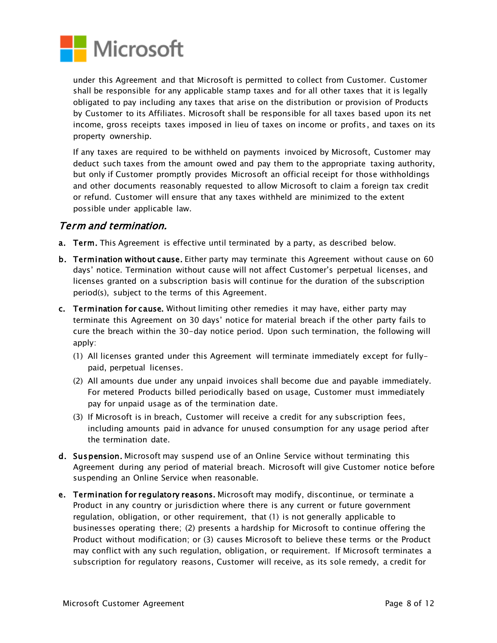

under this Agreement and that Microsoft is permitted to collect from Customer. Customer shall be responsible for any applicable stamp taxes and for all other taxes that it is legally obligated to pay including any taxes that arise on the distribution or provision of Products by Customer to its Affiliates. Microsoft shall be responsible for all taxes based upon its net income, gross receipts taxes imposed in lieu of taxes on income or profits, and taxes on its property ownership.

If any taxes are required to be withheld on payments invoiced by Microsoft, Customer may deduct such taxes from the amount owed and pay them to the appropriate taxing authority, but only if Customer promptly provides Microsoft an official receipt for those withholdings and other documents reasonably requested to allow Microsoft to claim a foreign tax credit or refund. Customer will ensure that any taxes withheld are minimized to the extent possible under applicable law.

#### Term and termination.

- a. Term. This Agreement is effective until terminated by a party, as described below.
- b. Termination without cause. Either party may terminate this Agreement without cause on 60 days' notice. Termination without cause will not affect Customer's perpetual licenses, and licenses granted on a subscription basis will continue for the duration of the subscription period(s), subject to the terms of this Agreement.
- c. Termination for cause. Without limiting other remedies it may have, either party may terminate this Agreement on 30 days' notice for material breach if the other party fails to cure the breach within the 30-day notice period. Upon such termination, the following will apply:
	- (1) All licenses granted under this Agreement will terminate immediately except for fullypaid, perpetual licenses.
	- (2) All amounts due under any unpaid invoices shall become due and payable immediately. For metered Products billed periodically based on usage, Customer must immediately pay for unpaid usage as of the termination date.
	- (3) If Microsoft is in breach, Customer will receive a credit for any subscription fees, including amounts paid in advance for unused consumption for any usage period after the termination date.
- d. Suspension. Microsoft may suspend use of an Online Service without terminating this Agreement during any period of material breach. Microsoft will give Customer notice before suspending an Online Service when reasonable.
- e. Termination for regulatory reasons. Microsoft may modify, discontinue, or terminate a Product in any country or jurisdiction where there is any current or future government regulation, obligation, or other requirement, that (1) is not generally applicable to businesses operating there; (2) presents a hardship for Microsoft to continue offering the Product without modification; or (3) causes Microsoft to believe these terms or the Product may conflict with any such regulation, obligation, or requirement. If Microsoft terminates a subscription for regulatory reasons, Customer will receive, as its sole remedy, a credit for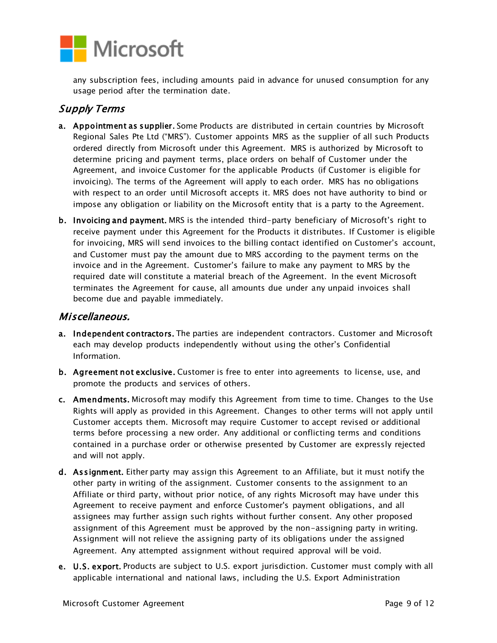

any subscription fees, including amounts paid in advance for unused consumption for any usage period after the termination date.

## Supply Terms

- a. Appointment as supplier. Some Products are distributed in certain countries by Microsoft Regional Sales Pte Ltd ("MRS"). Customer appoints MRS as the supplier of all such Products ordered directly from Microsoft under this Agreement. MRS is authorized by Microsoft to determine pricing and payment terms, place orders on behalf of Customer under the Agreement, and invoice Customer for the applicable Products (if Customer is eligible for invoicing). The terms of the Agreement will apply to each order. MRS has no obligations with respect to an order until Microsoft accepts it. MRS does not have authority to bind or impose any obligation or liability on the Microsoft entity that is a party to the Agreement.
- b. Invoicing and payment. MRS is the intended third-party beneficiary of Microsoft's right to receive payment under this Agreement for the Products it distributes. If Customer is eligible for invoicing, MRS will send invoices to the billing contact identified on Customer's account, and Customer must pay the amount due to MRS according to the payment terms on the invoice and in the Agreement. Customer's failure to make any payment to MRS by the required date will constitute a material breach of the Agreement. In the event Microsoft terminates the Agreement for cause, all amounts due under any unpaid invoices shall become due and payable immediately.

#### Miscellaneous.

- a. Independent contractors. The parties are independent contractors. Customer and Microsoft each may develop products independently without using the other's Confidential Information.
- b. Agreement not exclusive. Customer is free to enter into agreements to license, use, and promote the products and services of others.
- c. Amendments. Microsoft may modify this Agreement from time to time. Changes to the Use Rights will apply as provided in this Agreement. Changes to other terms will not apply until Customer accepts them. Microsoft may require Customer to accept revised or additional terms before processing a new order. Any additional or conflicting terms and conditions contained in a purchase order or otherwise presented by Customer are expressly rejected and will not apply.
- d. Assignment. Either party may assign this Agreement to an Affiliate, but it must notify the other party in writing of the assignment. Customer consents to the assignment to an Affiliate or third party, without prior notice, of any rights Microsoft may have under this Agreement to receive payment and enforce Customer's payment obligations, and all assignees may further assign such rights without further consent. Any other proposed assignment of this Agreement must be approved by the non-assigning party in writing. Assignment will not relieve the assigning party of its obligations under the assigned Agreement. Any attempted assignment without required approval will be void.
- e. U.S. export. Products are subject to U.S. export jurisdiction. Customer must comply with all applicable international and national laws, including the U.S. Export Administration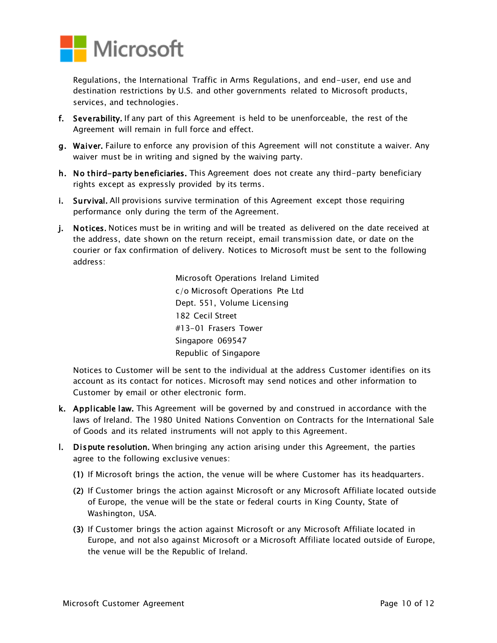

Regulations, the International Traffic in Arms Regulations, and end-user, end use and destination restrictions by U.S. and other governments related to Microsoft products, services, and technologies.

- f. Severability. If any part of this Agreement is held to be unenforceable, the rest of the Agreement will remain in full force and effect.
- g. Waiver. Failure to enforce any provision of this Agreement will not constitute a waiver. Any waiver must be in writing and signed by the waiving party.
- h. No third-party beneficiaries. This Agreement does not create any third-party beneficiary rights except as expressly provided by its terms.
- i. Survival. All provisions survive termination of this Agreement except those requiring performance only during the term of the Agreement.
- j. Notices. Notices must be in writing and will be treated as delivered on the date received at the address, date shown on the return receipt, email transmission date, or date on the courier or fax confirmation of delivery. Notices to Microsoft must be sent to the following address:

Microsoft Operations Ireland Limited c/o Microsoft Operations Pte Ltd Dept. 551, Volume Licensing 182 Cecil Street #13-01 Frasers Tower Singapore 069547 Republic of Singapore

Notices to Customer will be sent to the individual at the address Customer identifies on its account as its contact for notices. Microsoft may send notices and other information to Customer by email or other electronic form.

- k. Applicable law. This Agreement will be governed by and construed in accordance with the laws of Ireland. The 1980 United Nations Convention on Contracts for the International Sale of Goods and its related instruments will not apply to this Agreement.
- l. Dispute resolution. When bringing any action arising under this Agreement, the parties agree to the following exclusive venues:
	- (1) If Microsoft brings the action, the venue will be where Customer has its headquarters.
	- (2) If Customer brings the action against Microsoft or any Microsoft Affiliate located outside of Europe, the venue will be the state or federal courts in King County, State of Washington, USA.
	- (3) If Customer brings the action against Microsoft or any Microsoft Affiliate located in Europe, and not also against Microsoft or a Microsoft Affiliate located outside of Europe, the venue will be the Republic of Ireland.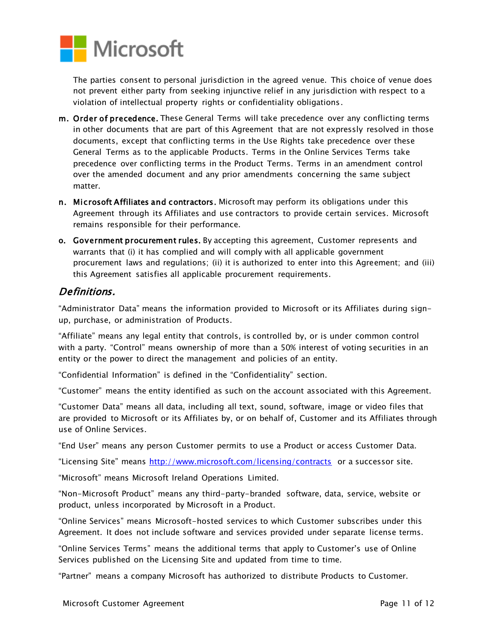

The parties consent to personal jurisdiction in the agreed venue. This choice of venue does not prevent either party from seeking injunctive relief in any jurisdiction with respect to a violation of intellectual property rights or confidentiality obligations.

- m. Order of precedence. These General Terms will take precedence over any conflicting terms in other documents that are part of this Agreement that are not expressly resolved in those documents, except that conflicting terms in the Use Rights take precedence over these General Terms as to the applicable Products. Terms in the Online Services Terms take precedence over conflicting terms in the Product Terms. Terms in an amendment control over the amended document and any prior amendments concerning the same subject matter.
- n. Microsoft Affiliates and contractors. Microsoft may perform its obligations under this Agreement through its Affiliates and use contractors to provide certain services. Microsoft remains responsible for their performance.
- o. Government procurement rules. By accepting this agreement, Customer represents and warrants that (i) it has complied and will comply with all applicable government procurement laws and regulations; (ii) it is authorized to enter into this Agreement; and (iii) this Agreement satisfies all applicable procurement requirements.

## Definitions.

"Administrator Data" means the information provided to Microsoft or its Affiliates during signup, purchase, or administration of Products.

"Affiliate" means any legal entity that controls, is controlled by, or is under common control with a party. "Control" means ownership of more than a 50% interest of voting securities in an entity or the power to direct the management and policies of an entity.

"Confidential Information" is defined in the "Confidentiality" section.

"Customer" means the entity identified as such on the account associated with this Agreement.

"Customer Data" means all data, including all text, sound, software, image or video files that are provided to Microsoft or its Affiliates by, or on behalf of, Customer and its Affiliates through use of Online Services.

"End User" means any person Customer permits to use a Product or access Customer Data.

"Licensing Site" means<http://www.microsoft.com/licensing/contracts> or a successor site.

"Microsoft" means Microsoft Ireland Operations Limited.

"Non-Microsoft Product" means any third-party-branded software, data, service, website or product, unless incorporated by Microsoft in a Product.

"Online Services" means Microsoft-hosted services to which Customer subscribes under this Agreement. It does not include software and services provided under separate license terms.

"Online Services Terms" means the additional terms that apply to Customer's use of Online Services published on the Licensing Site and updated from time to time.

"Partner" means a company Microsoft has authorized to distribute Products to Customer.